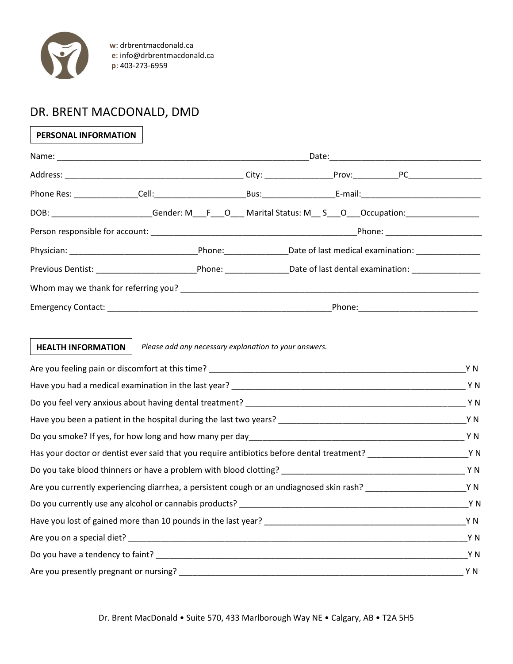

 **w**: drbrentmacdonald.ca  **e**: info@drbrentmacdonald.ca  **p**: 403-273-6959

## DR. BRENT MACDONALD, DMD

## **PERSONAL INFORMATION**

|  | DOB: _______________________Gender: M___F___O___ Marital Status: M__ S___O___Occupation: _________________ |  |
|--|------------------------------------------------------------------------------------------------------------|--|
|  | Phone: ______________________                                                                              |  |
|  |                                                                                                            |  |
|  |                                                                                                            |  |
|  |                                                                                                            |  |
|  | Phone: _______________________                                                                             |  |

## *Please add any necessary explanation to your answers.* **HEALTH INFORMATION**

|                                                                                                                         | Y N |
|-------------------------------------------------------------------------------------------------------------------------|-----|
|                                                                                                                         |     |
|                                                                                                                         |     |
|                                                                                                                         |     |
|                                                                                                                         |     |
| Has your doctor or dentist ever said that you require antibiotics before dental treatment? _________________________Y N |     |
|                                                                                                                         |     |
| Are you currently experiencing diarrhea, a persistent cough or an undiagnosed skin rash?                                |     |
|                                                                                                                         |     |
|                                                                                                                         |     |
|                                                                                                                         |     |
|                                                                                                                         |     |
|                                                                                                                         |     |